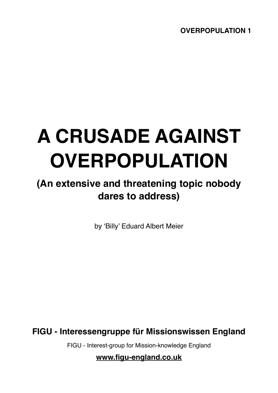## **A CRUSADE AGAINST OVERPOPULATION**

## **(An extensive and threatening topic nobody dares to address)**

by 'Billy' Eduard Albert Meier

**FIGU - Interessengruppe für Missionswissen England**

FIGU - Interest-group for Mission-knowledge England

**[www.figu-england.co.uk](http://www.figu-england.co.uk)**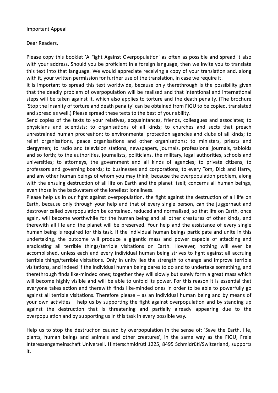## Important Appeal

Dear Readers,

Please copy this booklet 'A Fight Against Overpopulation' as often as possible and spread it also with your address. Should you be proficient in a foreign language, then we invite you to translate this text into that language. We would appreciate receiving a copy of your translation and, along with it, your written permission for further use of the translation, in case we require it.

It is important to spread this text worldwide, because only therethrough is the possibility given that the deadly problem of overpopulation will be realised and that intentional and international steps will be taken against it, which also applies to torture and the death penalty. (The brochure 'Stop the insanity of torture and death penalty' can be obtained from FIGU to be copied, translated and spread as well.) Please spread these texts to the best of your ability.

Send copies of the texts to your relatives, acquaintances, friends, colleagues and associates; to physicians and scientists; to organisations of all kinds; to churches and sects that preach unrestrained human procreation; to environmental protection agencies and clubs of all kinds; to relief organisations, peace organisations and other organisations; to ministers, priests and clergymen; to radio and television stations, newspapers, journals, professional journals, tabloids and so forth; to the authorities, journalists, politicians, the military, legal authorities, schools and universities; to attorneys, the government and all kinds of agencies; to private citizens, to professors and governing boards; to businesses and corporations; to every Tom, Dick and Harry, and any other human beings of whom you may think, because the overpopulation problem, along with the ensuing destruction of all life on Earth and the planet itself, concerns all human beings, even those in the backwaters of the loneliest loneliness.

Please help us in our fight against overpopulation, the fight against the destruction of all life on Earth, because only through your help and that of every single person, can the juggernaut and destroyer called overpopulation be contained, reduced and normalised, so that life on Earth, once again, will become worthwhile for the human being and all other creatures of other kinds, and therewith all life and the planet will be preserved. Your help and the assistance of every single human being is required for this task. If the individual human beings participate and unite in this undertaking, the outcome will produce a gigantic mass and power capable of attacking and eradicating all terrible things/terrible visitations on Earth. However, nothing will ever be accomplished, unless each and every individual human being strives to fight against all accruing terrible things/terrible visitations. Only in unity lies the strength to change and improve terrible visitations, and indeed if the individual human being dares to do and to undertake something, and therethrough finds like-minded ones; together they will slowly but surely form a great mass which will become highly visible and will be able to unfold its power. For this reason it is essential that everyone takes action and therewith finds like-minded ones in order to be able to powerfully go against all terrible visitations. Therefore please  $-$  as an individual human being and by means of your own activities – help us by supporting the fight against overpopulation and by standing up against the destruction that is threatening and partially already appearing due to the overpopulation and by supporting us in this task in every possible way.

Help us to stop the destruction caused by overpopulation in the sense of: 'Save the Earth, life, plants, human beings and animals and other creatures', in the same way as the FIGU, Freie Interessengemeinschaft Universell, Hinterschmidrüti 1225, 8495 Schmidrüti/Switzerland, supports it.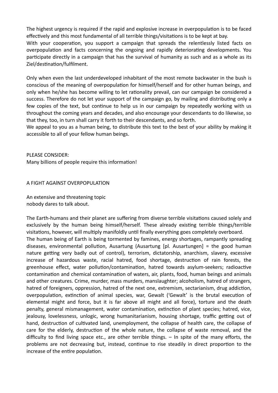The highest urgency is required if the rapid and explosive increase in overpopulation is to be faced effectively and this most fundamental of all terrible things/visitations is to be kept at bay. With your cooperation, you support a campaign that spreads the relentlessly listed facts on overpopulation and facts concerning the ongoing and rapidly deteriorating developments. You participate directly in a campaign that has the survival of humanity as such and as a whole as its Ziel/destination/fulfilment.

Only when even the last underdeveloped inhabitant of the most remote backwater in the bush is conscious of the meaning of overpopulation for himself/herself and for other human beings, and only when he/she has become willing to let rationality prevail, can our campaign be considered a success. Therefore do not let your support of the campaign go, by mailing and distributing only a few copies of the text, but continue to help us in our campaign by repeatedly working with us throughout the coming years and decades, and also encourage your descendants to do likewise, so that they, too, in turn shall carry it forth to their descendants, and so forth.

We appeal to you as a human being, to distribute this text to the best of your ability by making it accessible to all of your fellow human beings.

PLEASE CONSIDER: Many billions of people require this information!

A FIGHT AGAlNST OVERPOPULATlON

An extensive and threatening topic nobody dares to talk about.

The Earth-humans and their planet are suffering from diverse terrible visitations caused solely and exclusively by the human being himself/herself. These already existing terrible things/terrible visitations, however, will multiply manifoldly until finally everything goes completely overboard. The human being of Earth is being tormented by famines, energy shortages, rampantly spreading diseases, environmental pollution, Ausartung (Ausartung [pl. Ausartungen] = the good human nature getting very badly out of control), terrorism, dictatorship, anarchism, slavery, excessive increase of hazardous waste, racial hatred, food shortage, destruction of rain forests, the greenhouse effect, water pollution/contamination, hatred towards asylum-seekers; radioactive contamination and chemical contamination of waters, air, plants, food, human beings and animals and other creatures. Crime, murder, mass murders, manslaughter; alcoholism, hatred of strangers, hatred of foreigners, oppression, hatred of the next one, extremism, sectarianism, drug addiction, overpopulation, extinction of animal species, war, Gewalt ('Gewalt' is the brutal execution of elemental might and force, but it is far above all might and all force), torture and the death penalty, general mismanagement, water contamination, extinction of plant species; hatred, vice, jealousy, lovelessness, unlogic, wrong humanitarianism, housing shortage, traffic getting out of hand, destruction of cultivated land, unemployment, the collapse of health care, the collapse of care for the elderly, destruction of the whole nature, the collapse of waste removal, and the difficulty to find living space etc., are other terrible things. – In spite of the many efforts, the problems are not decreasing but, instead, continue to rise steadily in direct proportion to the increase of the entire population.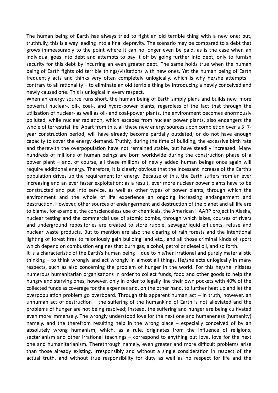The human being of Earth has always tried to fight an old terrible thing with a new one; but, truthfully, this is a way leading into a final depravity. The scenario may be compared to a debt that grows immeasurably to the point where it can no longer even be paid, as is the case when an individual goes into debt and attempts to pay it off by going further into debt, only to furnish security for this debt by incurring an even greater debt. The same holds true when the human being of Earth fights old terrible things/visitations with new ones. Yet the human being of Earth frequently acts and thinks very often completely unlogically, which is why he/she attempts – contrary to all rationality – to eliminate an old terrible thing by introducing a newly conceived and newly caused one. This is unlogical in every respect.

When an energy source runs short, the human being of Earth simply plans and builds new, more powerful nuclear-, oil-, coal-, and hydro-power plants, regardless of the fact that through the utilisation of nuclear- as well as oil- and coal-power plants, the environment becomes enormously polluted, while nuclear radiation, which escapes from nuclear power plants, also endangers the whole of terrestrial life. Apart from this, all these new energy sources upon completion over a  $3-7$ year construction period, will have already become partially outdated, or do not have enough capacity to cover the energy demand. Truthly, during the time of building, the excessive birth rate and therewith the overpopulation have not remained stable, but have steadily increased. Many hundreds of millions of human beings are born worldwide during the construction phase of a power plant – and, of course, all these millions of newly added human beings once again will require additional energy. Therefore, it is clearly obvious that the incessant increase of the Earth's population drives up the requirement for energy. Because of this, the Earth suffers from an ever increasing and an ever faster exploitation; as a result, ever more nuclear power plants have to be constructed and put into service, as well as other types of power plants, through which the environment and the whole of life experience an ongoing increasing endangerment and destruction. However, other sources of endangerment and destruction of the planet and all life are to blame, for example, the conscienceless use of chemicals, the American HAARP project in Alaska, nuclear testing and the commercial use of atomic bombs, through which lakes, courses of rivers and underground repositories are created to store rubble, sewage/liquid effluents, refuse and nuclear waste products. But to mention are also the clearing of rain forests and the intentional lighting of forest fires to feloniously gain building land etc., and all those criminal kinds of sport which depend on combustion engines that burn gas, alcohol, petrol or diesel oil, and so forth.

It is a characteristic of the Earth's human being  $-$  due to his/her irrational and purely materialistic thinking – to think wrongly and act wrongly in almost all things. He/she acts unlogically in many respects, such as also concerning the problem of hunger in the world. For this he/she initiates numerous humanitarian organisations in order to collect funds, food and other goods to help the hungry and starving ones, however, only in order to legally line their own pockets with 40% of the collected funds as coverage for the expenses and, on the other hand, to further heat up and let the overpopulation problem go overboard. Through this apparent human act  $-$  in truth, however, an unhuman act of destruction  $-$  the suffering of the humankind of Earth is not alleviated and the problems of hunger are not being resolved; instead, the suffering and hunger are being cultivated even more immensely. The wrongly understood love for the next one and humaneness (humanity) namely, and the therefrom resulting help in the wrong place  $-$  especially conceived of by an absolutely wrong humanism, which, as a rule, originates from the influence of religions, sectarianism and other irrational teachings  $-$  correspond to anything but love, love for the next one and humanitarianism. Therethrough namely, even greater and more difficult problems arise than those already existing. Irresponsibly and without a single consideration in respect of the actual truth, and without true responsibility for duty as well as no respect for life and the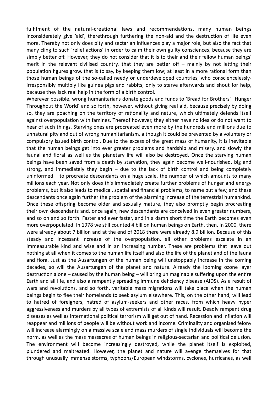fulfilment of the natural-creational laws and recommendations, many human beings inconsiderately give 'aid', therethrough furthering the non-aid and the destruction of life even more. Thereby not only does pity and sectarian influences play a major role, but also the fact that many cling to such 'relief actions' in order to calm their own guilty consciences, because they are simply better off. However, they do not consider that it is to their and their fellow human beings' merit in the relevant civilised country, that they are better off  $-$  mainly by not letting their population figures grow, that is to say, by keeping them low; at least in a more rational form than those human beings of the so-called needy or underdeveloped countries, who consciencelesslyirresponsibly multiply like guinea pigs and rabbits, only to starve afterwards and shout for help, because they lack real help in the form of a birth control.

Wherever possible, wrong humanitarians donate goods and funds to 'Bread for Brothers', 'Hunger Throughout the World' and so forth, however, without giving real aid, because precisely by doing so, they are poaching on the territory of rationality and nature, which ultimately defends itself against overpopulation with famines. Thereof however, they either have no idea or do not want to hear of such things. Starving ones are procreated even more by the hundreds and millions due to unnatural pity and out of wrong humanitarianism, although it could be prevented by a voluntary or compulsory issued birth control. Due to the excess of the great mass of humanity, it is inevitable that the human beings get into ever greater problems and hardship and misery, and slowly the faunal and floral as well as the planetary life will also be destroyed. Once the starving human beings have been saved from a death by starvation, they again become well-nourished, big and strong, and immediately they begin – due to the lack of birth control and being completely uninformed – to procreate descendants on a huge scale, the number of which amounts to many millions each year. Not only does this immediately create further problems of hunger and energy problems, but it also leads to medical, spatial and financial problems, to name but a few, and these descendants once again further the problem of the alarming increase of the terrestrial humankind. Once these offspring become older and sexually mature, they also promptly begin procreating their own descendants and, once again, new descendants are conceived in even greater numbers, and so on and so forth. Faster and ever faster, and in a damn short time the Earth becomes even more overpopulated. In 1978 we still counted 4 billion human beings on Earth, then, in 2000, there were already about 7 billion and at the end of 2018 there were already 8.9 billion. Because of this steady and incessant increase of the overpopulation, all other problems escalate in an immeasurable kind and wise and in an increasing number. These are problems that leave out nothing at all when it comes to the human life itself and also the life of the planet and of the fauna and flora. Just as the Ausartungen of the human being will unstoppably increase in the coming decades, so will the Ausartungen of the planet and nature. Already the looming ozone layer destruction alone – caused by the human being – will bring unimaginable suffering upon the entire Earth and all life, and also a rampantly spreading immune deficiency disease (AIDS). As a result of wars and revolutions, and so forth, veritable mass migrations will take place when the human beings begin to flee their homelands to seek asylum elsewhere. This, on the other hand, will lead to hatred of foreigners, hatred of asylum-seekers and other races, from which heavy hyper aggressiveness and murders by all types of extremists of all kinds will result. Deadly rampant drug diseases as well as international political terrorism will get out of hand. Recession and inflation will reappear and millions of people will be without work and income. Criminality and organised felony will increase alarmingly on a massive scale and mass murders of single individuals will become the norm, as well as the mass massacres of human beings in religious-sectarian and political delusion. The environment will become increasingly destroyed, while the planet itself is exploited, plundered and maltreated. However, the planet and nature will avenge themselves for that through unusually immense storms, typhoons/European windstorms, cyclones, hurricanes, as well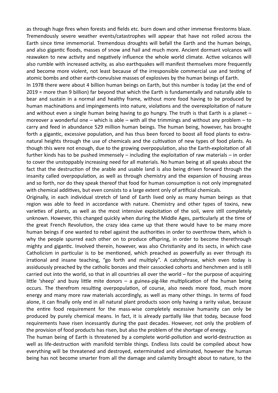as through huge fires when forests and fields etc. burn down and other immense firestorms blaze. Tremendously severe weather events/catastrophes will appear that have not rolled across the Earth since time immemorial. Tremendous droughts will befall the Earth and the human beings, and also gigantic floods, masses of snow and hail and much more. Ancient dormant volcanos will reawaken to new activity and negatively influence the whole world climate. Active volcanos will also rumble with increased activity, as also earthquakes will manifest themselves more frequently and become more violent, not least because of the irresponsible commercial use and testing of atomic bombs and other earth-convulsive masses of explosives by the human beings of Earth.

In 1978 there were about 4 billion human beings on Earth, but this number is today (at the end of 2019 = more than 9 billion) far beyond that which the Earth is fundamentally and naturally able to bear and sustain in a normal and healthy frame, without more food having to be produced by human machinations and impingements into nature, violations and the overexploitation of nature and without even a single human being having to go hungry. The truth is that Earth is a planet – moreover a wonderful one – which is able – with all the trimmings and without any problem – to carry and feed in abundance 529 million human beings. The human being, however, has brought forth a gigantic, excessive population, and has thus been forced to boost all food plants to extranatural heights through the use of chemicals and the cultivation of new types of food plants. As though this were not enough, due to the growing overpopulation, also the Earth-exploitation of all further kinds has to be pushed immensely – including the exploitation of raw materials – in order to cover the unstoppably increasing need for all materials. No human being at all speaks about the fact that the destruction of the arable and usable land is also being driven forward through the insanity called overpopulation, as well as through chemistry and the expansion of housing areas and so forth, nor do they speak thereof that food for human consumption is not only impregnated with chemical additives, but even consists to a large extent only of artificial chemicals.

Originally, in each individual stretch of land of Earth lived only as many human beings as that region was able to feed in accordance with nature. Chemistry and other types of toxins, new varieties of plants, as well as the most intensive exploitation of the soil, were still completely unknown. However, this changed quickly when during the Middle Ages, particularly at the time of the great French Revolution, the crazy idea came up that there would have to be many more human beings if one wanted to rebel against the authorities in order to overthrow them, which is why the people spurred each other on to produce offspring, in order to become therethrough mighty and gigantic. Involved therein, however, was also Christianity and its sects, in which case Catholicism in particular is to be mentioned, which preached as powerfully as ever through its irrational and insane teaching, "go forth and multiply". A catchphrase, which even today is assiduously preached by the catholic bonzes and their cassocked cohorts and henchmen and is still carried out into the world, so that in all countries all over the world – for the purpose of acquiring little 'sheep' and busy little mite donors – a guinea-pig-like multiplication of the human being occurs. The therefrom resulting overpopulation, of course, also needs more food, much more energy and many more raw materials accordingly, as well as many other things. In terms of food alone, it can finally only end in all natural plant products soon only having a rarity value, because the entire food requirement for the mass-wise completely excessive humanity can only be produced by purely chemical means. In fact, it is already partially like that today, because food requirements have risen incessantly during the past decades. However, not only the problem of the provision of food products has risen, but also the problem of the shortage of energy.

The human being of Earth is threatened by a complete world-pollution and world-destruction as well as life-destruction with manifold terrible things. Endless lists could be compiled about how everything will be threatened and destroyed, exterminated and eliminated, however the human being has not become smarter from all the damage and calamity brought about to nature, to the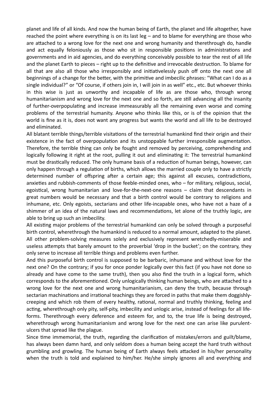planet and life of all kinds. And now the human being of Earth, the planet and life altogether, have reached the point where everything is on its last leg – and to blame for everything are those who are attached to a wrong love for the next one and wrong humanity and therethrough do, handle and act equally feloniously as those who sit in responsible positions in administrations and governments and in aid agencies, and do everything conceivably possible to tear the rest of all life and the planet Earth to pieces – right up to the definitive and irrevocable destruction. To blame for all that are also all those who irresponsibly and initiativelessly push off onto the next one all beginnings of a change for the better, with the primitive and imbecilic phrases: "What can I do as a single individual?" or "Of course, if others join in, I will join in as well" etc., etc. But whoever thinks in this wise is just as unworthy and incapable of life as are those who, through wrong humanitarianism and wrong love for the next one and so forth, are still advancing all the insanity of further-overpopulating and increase immeasurably all the remaining even worse and coming problems of the terrestrial humanity. Anyone who thinks like this, or is of the opinion that the world is fine as it is, does not want any progress but wants the world and all life to be destroyed and eliminated.

All blatant terrible things/terrible visitations of the terrestrial humankind find their origin and their existence in the fact of overpopulation and its unstoppable further irresponsible augmentation. Therefore, the terrible thing can only be fought and removed by perceiving, comprehending and logically following it right at the root, pulling it out and eliminating it: The terrestrial humankind must be drastically reduced. The only humane basis of a reduction of human beings, however, can only happen through a regulation of births, which allows the married couple only to have a strictly determined number of offspring after a certain age; this against all excuses, contradictions, anxieties and rubbish-comments of those feeble-minded ones, who  $-$  for military, religious, social, egoistical, wrong humanitarian and love-for-the-next-one reasons – claim that descendants in great numbers would be necessary and that a birth control would be contrary to religions and inhumane, etc. Only egoists, sectarians and other life-incapable ones, who have not a haze of a shimmer of an idea of the natural laws and recommendations, let alone of the truthly logic, are able to bring up such an imbecility.

All existing major problems of the terrestrial humankind can only be solved through a purposeful birth control, wherethrough the humankind is reduced to a normal amount, adapted to the planet. All other problem-solving measures solely and exclusively represent wretchedly-miserable and useless attempts that barely amount to the proverbial 'drop in the bucket'; on the contrary, they only serve to increase all terrible things and problems even further.

And this purposeful birth control is supposed to be barbaric, inhumane and without love for the next one? On the contrary; if you for once ponder logically over this fact (if you have not done so already and have come to the same truth), then you also find the truth in a logical form, which corresponds to the aforementioned. Only unlogically thinking human beings, who are attached to a wrong love for the next one and wrong humanitarianism, can deny the truth, because through sectarian machinations and irrational teachings they are forced in paths that make them doggishlycreeping and which rob them of every healthy, rational, normal and truthly thinking, feeling and acting, wherethrough only pity, self-pity, imbecility and unlogic arise, instead of feelings for all lifeforms. Therethrough every deference and esteem for, and to, the true life is being destroyed, wherethrough wrong humanitarianism and wrong love for the next one can arise like purulentulcers that spread like the plague.

Since time immemorial, the truth, regarding the clarification of mistakes/errors and guilt/blame, has always been damn hard, and only seldom does a human being accept the hard truth without grumbling and growling. The human being of Earth always feels attacked in his/her personality when the truth is told and explained to him/her. He/she simply ignores all and everything and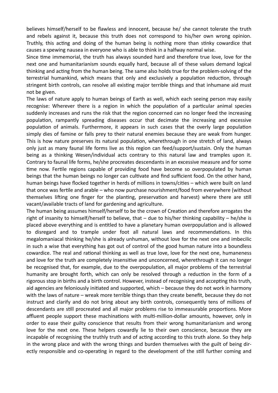believes himself/herself to be flawless and innocent, because he/ she cannot tolerate the truth and rebels against it, because this truth does not correspond to his/her own wrong opinion. Truthly, this acting and doing of the human being is nothing more than stinky cowardice that causes a spewing nausea in everyone who is able to think in a halfway normal wise.

Since time immemorial, the truth has always sounded hard and therefore true love, love for the next one and humanitarianism sounds equally hard, because all of these values demand logical thinking and acting from the human being. The same also holds true for the problem-solving of the terrestrial humankind, which means that only and exclusively a population reduction, through stringent birth controls, can resolve all existing major terrible things and that inhumane aid must not be given.

The laws of nature apply to human beings of Earth as well, which each seeing person may easily recognise: Wherever there is a region in which the population of a particular animal species suddenly increases and runs the risk that the region concerned can no longer feed the increasing population, rampantly spreading diseases occur that decimate the increasing and excessive population of animals. Furthermore, it appears in such cases that the overly large population simply dies of famine or falls prey to their natural enemies because they are weak from hunger. This is how nature preserves its natural population, wherethrough in one stretch of land, always only just as many faunal life forms live as this region can feed/support/sustain. Only the human being as a thinking Wesen/individual acts contrary to this natural law and tramples upon it. Contrary to faunal life forms, he/she procreates descendants in an excessive measure and for some time now. Fertile regions capable of providing food have become so overpopulated by human beings that the human beings no longer can cultivate and find sufficient food. On the other hand, human beings have flocked together in herds of millions in towns/cities – which were built on land that once was fertile and arable – who now purchase nourishment/food from everywhere (without themselves lifting one finger for the planting, preservation and harvest) where there are still vacant/available tracts of land for gardening and agriculture.

The human being assumes himself/herself to be the crown of Creation and therefore arrogates the right of insanity to himself/herself to believe, that – due to his/her thinking capability – he/she is placed above everything and is entitled to have a planetary human overpopulation and is allowed to disregard and to trample under foot all natural laws and recommendations. In this megalomaniacal thinking he/she is already unhuman, without love for the next one and imbecilic in such a wise that everything has got out of control of the good human nature into a boundless cowardice. The real and rational thinking as well as true love, love for the next one, humaneness and love for the truth are completely insensitive and unconcerned, wherethrough it can no longer be recognised that, for example, due to the overpopulation, all major problems of the terrestrial humanity are brought forth, which can only be resolved through a reduction in the form of a rigorous stop in births and a birth control. However, instead of recognising and accepting this truth, aid agencies are feloniously initiated and supported, which – because they do not work in harmony with the laws of nature – wreak more terrible things than they create benefit, because they do not instruct and clarify and do not bring about any birth controls, consequently tens of millions of descendants are still procreated and all major problems rise to immeasurable proportions. More affluent people support these machinations with multi-million-dollar amounts, however, only in order to ease their guilty conscience that results from their wrong humanitarianism and wrong love for the next one. These helpers cowardly lie to their own conscience, because they are incapable of recognising the truthly truth and of acting according to this truth alone. So they help in the wrong place and with the wrong things and burden themselves with the guilt of being directly responsible and co-operating in regard to the development of the still further coming and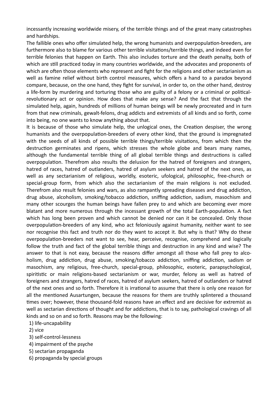incessantly increasing worldwide misery, of the terrible things and of the great many catastrophes and hardships.

The fallible ones who offer simulated help, the wrong humanists and overpopulation-breeders, are furthermore also to blame for various other terrible visitations/terrible things, and indeed even for terrible felonies that happen on Earth. This also includes torture and the death penalty, both of which are still practiced today in many countries worldwide, and the advocates and proponents of which are often those elements who represent and fight for the religions and other sectarianism as well as famine relief without birth control measures, which offers a hand to a paradox beyond compare, because, on the one hand, they fight for survival, in order to, on the other hand, destroy a life-form by murdering and torturing those who are guilty of a felony or a criminal or politicalrevolutionary act or opinion. How does that make any sense? And the fact that through the simulated help, again, hundreds of millions of human beings will be newly procreated and in turn from that new criminals, gewalt-felons, drug addicts and extremists of all kinds and so forth, come into being, no one wants to know anything about that.

It is because of those who simulate help, the unlogical ones, the Creation despiser, the wrong humanists and the overpopulation-breeders of every other kind, that the ground is impregnated with the seeds of all kinds of possible terrible things/terrible visitations, from which then the destruction germinates and ripens, which stresses the whole globe and bears many names, although the fundamental terrible thing of all global terrible things and destructions is called overpopulation. Therefrom also results the delusion for the hatred of foreigners and strangers, hatred of races, hatred of outlanders, hatred of asylum seekers and hatred of the next ones, as well as any sectarianism of religious, worldly, esoteric, ufological, philosophic, free-church or special-group form, from which also the sectarianism of the main religions is not excluded. Therefrom also result felonies and wars, as also rampantly spreading diseases and drug addiction, drug abuse, alcoholism, smoking/tobacco addiction, sniffing addiction, sadism, masochism and many other scourges the human beings have fallen prey to and which are becoming ever more blatant and more numerous through the incessant growth of the total Earth-population. A fact which has long been proven and which cannot be denied nor can it be concealed. Only those overpopulation-breeders of any kind, who act feloniously against humanity, neither want to see nor recognise this fact and truth nor do they want to accept it. But why is that? Why do these overpopulation-breeders not want to see, hear, perceive, recognise, comprehend and logically follow the truth and fact of the global terrible things and destruction in any kind and wise? The answer to that is not easy, because the reasons differ amongst all those who fall prey to alcoholism, drug addiction, drug abuse, smoking/tobacco addiction, sniffing addiction, sadism or masochism, any religious, free-church, special-group, philosophic, esoteric, parapsychological, spiritistic or main religions-based sectarianism or war, murder, felony as well as hatred of foreigners and strangers, hatred of races, hatred of asylum seekers, hatred of outlanders or hatred of the next ones and so forth. Therefore it is irrational to assume that there is only one reason for all the mentioned Ausartungen, because the reasons for them are truthly splintered a thousand times over; however, these thousand-fold reasons have an effect and are decisive for extremist as well as sectarian directions of thought and for addictions, that is to say, pathological cravings of all kinds and so on and so forth. Reasons may be the following:

## 1) life-uncapability

- 2) vice
- 3) self-control-lessness
- 4) impairment of the psyche
- 5) sectarian propaganda
- 6) propaganda by special groups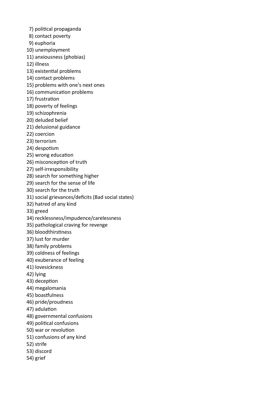- 7) political propaganda
- 8) contact poverty
- 9) euphoria
- 10) unemployment
- 11) anxiousness (phobias)
- 12) illness
- 13) existential problems
- 14) contact problems
- 15) problems with one's next ones
- 16) communication problems
- 17) frustration
- 18) poverty of feelings
- 19) schizophrenia
- 20) deluded belief
- 21) delusional guidance
- 22) coercion
- 23) terrorism
- 24) despotism
- 25) wrong education
- 26) misconception of truth
- 27) self-irresponsibility
- 28) search for something higher
- 29) search for the sense of life
- 30) search for the truth
- 31) social grievances/deficits (Bad social states)
- 32) hatred of any kind
- 33) greed
- 34) recklessness/impudence/carelessness
- 35) pathological craving for revenge
- 36) bloodthirstiness
- 37) lust for murder
- 38) family problems
- 39) coldness of feelings
- 40) exuberance of feeling
- 41) lovesickness
- 42) lying
- 43) deception
- 44) megalomania
- 45) boastfulness
- 46) pride/proudness
- 47) adulation
- 48) governmental confusions
- 49) political confusions
- 50) war or revolution
- 51) confusions of any kind
- 52) strife
- 53) discord
- 54) grief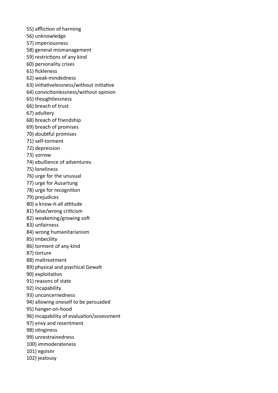- 55) affliction of harming
- 56) unknowledge
- 57) imperiousness
- 58) general mismanagement
- 59) restrictions of any kind
- 60) personality crises
- 61) fickleness
- 62) weak-mindedness
- 63) initiativelessness/without initiative
- 64) convictionlessness/without opinion
- 65) thoughtlessness
- 66) breach of trust
- 67) adultery
- 68) breach of friendship
- 69) breach of promises
- 70) doubtful promises
- 71) self-torment
- 72) depression
- 73) sorrow
- 74) ebullience of adventures
- 75) loneliness
- 76) urge for the unusual
- 77) urge for Ausartung
- 78) urge for recognition
- 79) prejudices
- 80) a know-it-all attitude
- 81) false/wrong criticism
- 82) weakening/growing soft
- 83) unfairness
- 84) wrong humanitarianism
- 85) imbecility
- 86) torment of any kind
- 87) torture
- 88) maltreatment
- 89) physical and psychical Gewalt
- 90) exploitation
- 91) reasons of state
- 92) incapability
- 93) unconcernedness
- 94) allowing oneself to be persuaded
- 95) hanger-on-hood
- 96) incapability of evaluation/assessment
- 97) envy and resentment
- 98) stinginess
- 99) unrestrainedness
- 100) immoderateness
- 101) egoism
- 102) jealousy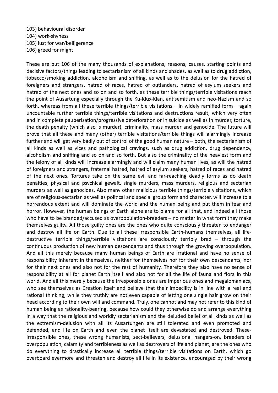103) behavioural disorder 104) work-shyness 105) lust for war/belligerence 106) greed for might

These are but 106 of the many thousands of explanations, reasons, causes, starting points and decisive factors/things leading to sectarianism of all kinds and shades, as well as to drug addiction, tobacco/smoking addiction, alcoholism and sniffing, as well as to the delusion for the hatred of foreigners and strangers, hatred of races, hatred of outlanders, hatred of asylum seekers and hatred of the next ones and so on and so forth, as these terrible things/terrible visitations reach the point of Ausartung especially through the Ku-Klux-Klan, antisemitism and neo-Nazism and so forth, whereas from all these terrible things/terrible visitations – in widely ramified form – again uncountable further terrible things/terrible visitations and destructions result, which very often end in complete pauperisation/progressive deterioration or in suicide as well as in murder, torture, the death penalty (which also is murder), criminality, mass murder and genocide. The future will prove that all these and many (other) terrible visitations/terrible things will alarmingly increase further and will get very badly out of control of the good human nature – both, the sectarianism of all kinds as well as vices and pathological cravings, such as drug addiction, drug dependency, alcoholism and sniffing and so on and so forth. But also the criminality of the heaviest form and the felony of all kinds will increase alarmingly and will claim many human lives, as will the hatred of foreigners and strangers, fraternal hatred, hatred of asylum seekers, hatred of races and hatred of the next ones. Tortures take on the same evil and far-reaching deadly forms as do death penalties, physical and psychical gewalt, single murders, mass murders, religious and sectarian murders as well as genocides. Also many other malicious terrible things/terrible visitations, which are of religious-sectarian as well as political and special group form and character, will increase to a horrendous extent and will dominate the world and the human being and put them in fear and horror. However, the human beings of Earth alone are to blame for all that, and indeed all those who have to be branded/accused as overpopulation-breeders – no matter in what form they make themselves guilty. All those guilty ones are the ones who quite consciously threaten to endanger and destroy all life on Earth. Due to all these irresponsible Earth-humans themselves, all lifedestructive terrible things/terrible visitations are consciously terribly bred – through the continuous production of new human descendants and thus through the growing overpopulation. And all this merely because many human beings of Earth are irrational and have no sense of responsibility inherent in themselves, neither for themselves nor for their own descendants, nor for their next ones and also not for the rest of humanity. Therefore they also have no sense of responsibility at all for planet Earth itself and also not for all the life of fauna and flora in this world. And all this merely because the irresponsible ones are imperious ones and megalomaniacs, who see themselves as Creation itself and believe that their imbecility is in line with a real and rational thinking, while they truthly are not even capable of letting one single hair grow on their head according to their own will and command. Truly, one cannot and may not refer to this kind of human being as rationality-bearing, because how could they otherwise do and arrange everything in a way that the religious and worldly sectarianism and the deluded belief of all kinds as well as the extremism-delusion with all its Ausartungen are still tolerated and even promoted and defended, and life on Earth and even the planet itself are devastated and destroyed. Theseirresponsible ones, these wrong humanists, sect-believers, delusional hangers-on, breeders of overpopulation, calamity and terribleness as well as destroyers of life and planet, are the ones who do everything to drastically increase all terrible things/terrible visitations on Earth, which go overboard evermore and threaten and destroy all life in its existence, encouraged by their wrong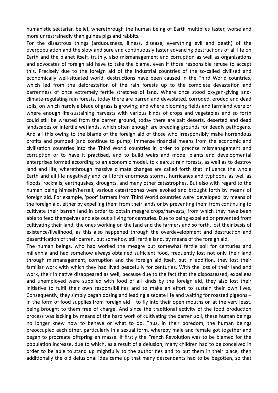humanistic sectarian belief, wherethrough the human being of Earth multiplies faster, worse and more unrestrainedly than guinea pigs and rabbits.

For the disastrous things (arduousness, illness, disease, everything evil and death) of the overpopulation and the slow and sure and continuously faster advancing destructions of all life on Earth and the planet itself, truthly, also mismanagement and corruption as well as organisations and advocates of foreign aid have to take the blame, even if those responsible refuse to accept this. Precisely due to the foreign aid of the industrial countries of the so-called civilised and economically well-situated world, destructions have been caused in the Third World countries, which led from the deforestation of the rain forests up to the complete devastation and barrenness of once extremely fertile stretches of land. Where once stood oxygen-giving andclimate-regulating rain forests, today there are barren and devastated, corroded, eroded and dead soils, on which hardly a blade of grass is growing; and where blooming fields and farmland were or where enough life-sustaining harvests with various kinds of crops and vegetables and so forth could still be wrested from the barren ground, today there are salt deserts, deserted and dead landscapes or infertile wetlands, which often enough are breeding grounds for deadly pathogens. And all this owing to the blame of the foreign aid of those who irresponsibly make horrendous profits and pumped (and continue to pump) immense financial means from the economic and civilisation countries into the Third World countries in order to practise mismanagement and corruption or to have it practised, and to build weirs and model plants and developmental enterprises formed according to an economic model, to clearcut rain forests, as well as to destroy land and life, wherethrough massive climate changes are called forth that influence the whole Earth and all life negatively and call forth enormous storms, hurricanes and typhoons as well as floods, rockfalls, earthquakes, droughts, and many other catastrophes. But also with regard to the human being himself/herself, various catastrophes were evoked and brought forth by means of foreign aid. For example, 'poor' farmers from Third World countries were 'developed' by means of the foreign aid, either by expelling them from their lands or by preventing them from continuing to cultivate their barren land in order to obtain meagre crops/harvests, from which they have been able to feed themselves and eke out a living for centuries. Due to being expelled or prevented from cultivating their land, the ones working on the land and the farmers and so forth, lost their basis of existence/livelihood, as this also happened through the overdevelopment and destruction and desertification of their barren, but somehow still fertile land, by means of the foreign aid.

The human beings, who had worked the meagre but somewhat fertile soil for centuries and millennia and had somehow always obtained sufficient food, frequently lost not only their land through mismanagement, corruption and the foreign aid itself, but in addition, they lost their familiar work with which they had lived peacefully for centuries. With the loss of their land and work, their initiative disappeared as well, because due to the fact that the dispossessed, expellees and unemployed were supplied with food of all kinds by the foreign aid, they also lost their initiative to fulfil their own responsibilities and to make an effort to sustain their own lives. Consequently, they simply began dozing and leading a sedate life and waiting for roasted pigeons  $$ in the form of food supplies from foreign aid  $-$  to fly into their open mouths or, at the very least, being brought to them free of charge. And since the traditional activity of the food production process was lacking by means of the hard work of cultivating the barren soil, these human beings no longer knew how to behave or what to do. Thus, in their boredom, the human beings preoccupied each other, particularly in a sexual form, whereby male and female got together and began to procreate offspring en masse. If firstly the French Revolution was to be blamed for the population increase, due to which, as a result of a delusion, many children had to be conceived in order to be able to stand up mightfully to the authorities and to put them in their place, then additionally the old delusional idea came up that many descendants had to be begotten, so that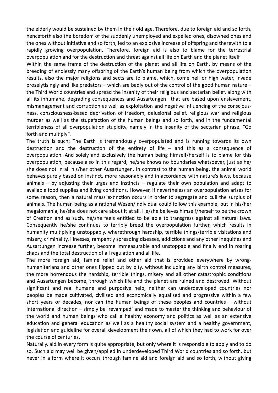the elderly would be sustained by them in their old age. Therefore, due to foreign aid and so forth, henceforth also the boredom of the suddenly unemployed and expelled ones, disowned ones and the ones without initiative and so forth, led to an explosive increase of offspring and therewith to a rapidly growing overpopulation. Therefore, foreign aid is also to blame for the terrestrial overpopulation and for the destruction and threat against all life on Earth and the planet itself.

Within the same frame of the destruction of the planet and all life on Earth, by means of the breeding of endlessly many offspring of the Earth's human being from which the overpopulation results, also the major religions and sects are to blame, which, come hell or high water, invade proselytisingly and like predators – which are badly out of the control of the good human nature – the Third World countries and spread the insanity of their religious and sectarian belief, along with all its inhumane, degrading consequences and Ausartungen that are based upon enslavement, mismanagement and corruption as well as exploitation and negative influencing of the consciousness, consciousness-based deprivation of freedom, delusional belief, religious war and religious murder as well as the stupefaction of the human beings and so forth, and in the fundamental terribleness of all overpopulation stupidity, namely in the insanity of the sectarian phrase, "Go forth and multiply".

The truth is such: The Earth is tremendously overpopulated and is running towards its own destruction and the destruction of the entirety of life  $-$  and this as a consequence of overpopulation. And solely and exclusively the human being himself/herself is to blame for this overpopulation, because also in this regard, he/she knows no boundaries whatsoever, just as he/ she does not in all his/her other Ausartungen. In contrast to the human being, the animal world behaves purely based on instinct, more reasonably and in accordance with nature's laws, because animals  $-$  by adjusting their urges and instincts  $-$  regulate their own population and adapt to available food supplies and living conditions. However, if nevertheless an overpopulation arises for some reason, then a natural mass extinction occurs in order to segregate and cull the surplus of animals. The human being as a rational Wesen/individual could follow this example, but in his/her megalomania, he/she does not care about it at all. He/she believes himself/herself to be the crown of Creation and as such, he/she feels entitled to be able to transgress against all natural laws. Consequently he/she continues to terribly breed the overpopulation further, which results in humanity multiplying unstoppably, wherethrough hardship, terrible things/terrible visitations and misery, criminality, illnesses, rampantly spreading diseases, addictions and any other inequities and Ausartungen increase further, become immeasurable and unstoppable and finally end in roaring chaos and the total destruction of all regulation and all life.

The more foreign aid, famine relief and other aid that is provided everywhere by wronghumanitarians and other ones flipped out by pity, without including any birth control measures, the more horrendous the hardship, terrible things, misery and all other catastrophic conditions and Ausartungen become, through which life and the planet are ruined and destroyed. Without significant and real humane and purposive help, neither can underdeveloped countries nor peoples be made cultivated, civilised and economically equalised and progressive within a few short years or decades, nor can the human beings of these peoples and countries – without international direction – simply be 'revamped' and made to master the thinking and behaviour of the world and human beings who call a healthy economy and politics as well as an extensive education and general education as well as a healthy social system and a healthy government, legislation and guideline for overall development their own, all of which they had to work for over the course of centuries.

Naturally, aid in every form is quite appropriate, but only where it is responsible to apply and to do so. Such aid may well be given/applied in underdeveloped Third World countries and so forth, but never in a form where it occurs through famine aid and foreign aid and so forth, without giving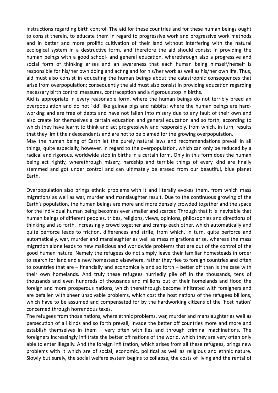instructions regarding birth control. The aid for these countries and for these human beings ought to consist therein, to educate them in regard to progressive work and progressive work methods and in better and more prolific cultivation of their land without interfering with the natural ecological system in a destructive form, and therefore the aid should consist in providing the human beings with a good school- and general education, wherethrough also a progressive and social form of thinking arises and an awareness that each human being himself/herself is responsible for his/her own doing and acting and for his/her work as well as his/her own life. Thus, aid must also consist in educating the human beings about the catastrophic consequences that arise from overpopulation; consequently the aid must also consist in providing education regarding necessary birth control measures, contraception and a rigorous stop in births.

Aid is appropriate in every reasonable form, where the human beings do not terribly breed an overpopulation and do not 'kid' like guinea pigs and rabbits; where the human beings are hardworking and are free of debts and have not fallen into misery due to any fault of their own and also create for themselves a certain education and general education and so forth, according to which they have learnt to think and act progressively and responsibly, from which, in turn, results that they limit their descendants and are not to be blamed for the growing overpopulation.

May the human being of Earth let the purely natural laws and recommendations prevail in all things, quite especially, however, in regard to the overpopulation, which can only be reduced by a radical and rigorous, worldwide stop in births in a certain form. Only in this form does the human being act rightly, wherethrough misery, hardship and terrible things of every kind are finally stemmed and got under control and can ultimately be erased from our beautiful, blue planet Earth.

Overpopulation also brings ethnic problems with it and literally evokes them, from which mass migrations as well as war, murder and manslaughter result. Due to the continuous growing of the Earth's population, the human beings are more and more densely crowded together and the space for the individual human being becomes ever smaller and scarcer. Through that it is inevitable that human beings of different peoples, tribes, religions, views, opinions, philosophies and directions of thinking and so forth, increasingly crowd together and cramp each other, which automatically and quite perforce leads to friction, differences and strife, from which, in turn, quite perforce and automatically, war, murder and manslaughter as well as mass migrations arise, whereas the mass migration alone leads to new malicious and worldwide problems that are out of the control of the good human nature. Namely the refugees do not simply leave their familiar homesteads in order to search for land and a new homestead elsewhere, rather they flee to foreign countries and often to countries that are  $-$  financially and economically and so forth  $-$  better off than is the case with their own homelands. And truly these refugees hurriedly pile off in the thousands, tens of thousands and even hundreds of thousands and millions out of their homelands and flood the foreign and more prosperous nations, which therethrough become infiltrated with foreigners and are befallen with sheer unsolvable problems, which cost the host nations of the refugees billions, which have to be assumed and compensated for by the hardworking citizens of the 'host nation' concerned through horrendous taxes.

The refugees from those nations, where ethnic problems, war, murder and manslaughter as well as persecution of all kinds and so forth prevail, invade the better off countries more and more and establish themselves in them – very often with lies and through criminal machinations. The foreigners increasingly infiltrate the better off nations of the world, which they are very often only able to enter illegally. And the foreign infiltration, which arises from all these refugees, brings new problems with it which are of social, economic, political as well as religious and ethnic nature. Slowly but surely, the social welfare system begins to collapse, the costs of living and the rental of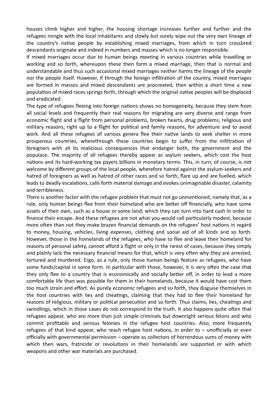houses climb higher and higher, the housing shortage increases further and further and the refugees mingle with the local inhabitants and slowly but surely wipe out the very own lineage of the country's native people by establishing mixed marriages, from which in turn crossbred descendants originate and indeed in numbers and masses which is no longer responsible.

If mixed marriages occur due to human beings meeting in various countries while travelling or working and so forth, whereupon these then form a mixed marriage, then that is normal and understandable and thus such occasional mixed marriages neither harms the lineage of the people nor the people itself. However, if through the foreign infiltration of the country, mixed marriages are formed in masses and mixed descendants are procreated, then within a short time a new population of mixed races springs forth, through which the original native peoples will be displaced and eradicated.

The type of refugees fleeing into foreign nations shows no homogeneity, because they stem from all social levels and frequently their real reasons for migrating are very diverse and range from economic flight and a flight from personal problems, broken hearts, drug problems, religious and military reasons, right up to a flight for political and family reasons, for adventure and to avoid work. And all these refugees of various genera flee their native lands to seek shelter in more prosperous countries, wherethrough these countries begin to suffer from the infiltration of foreigners with all its malicious consequences that endanger both, the government and the populace. The majority of all refugees thereby appear as asylum seekers, which cost the host nations and its hard-working tax payers billions in monetary terms. This, in turn, of course, is not welcome by different groups of the local people, wherefore hatred against the asylum-seekers and hatred of foreigners as well as hatred of other races and so forth, flare up and are fuelled, which leads to deadly escalations, calls forth material damage and evokes unimaginable disaster, calamity and terribleness.

There is another factor with the refugee problem that must not go unmentioned, namely that, as a rule, only human beings flee from their homeland who are better off financially, who have some assets of their own, such as a house or some land, which they can turn into hard cash in order to finance their escape. And these refugees are not what you would call particularly modest, because more often than not they make brazen financial demands on the refugees' host nations in regard to money, housing, vehicles, living expenses, clothing and social aid of all kinds and so forth. However, those in the homelands of the refugees, who have to flee and leave their homeland for reasons of personal safety, cannot afford a flight or only in the rarest of cases, because they simply and plainly lack the necessary financial means for that, which is very often why they are arrested, tortured and murdered. Ergo, as a rule, only those human beings feature as refugees, who have some funds/capital in some form. In particular with those, however, it is very often the case that they only flee to a country that is economically and socially better off, in order to lead a more comfortable life than was possible for them in their homelands, because it would have cost them too much strain and effort. As purely economic refugees and so forth, they disguise themselves in the host countries with lies and cheatings, claiming that they had to flee their homeland for reasons of religious, military or political persecution and so forth. Thus claims, lies, cheatings and swindlings, which in those cases do not correspond to the truth. It also happens quite often that refugees appear, who are more than just simple criminals but downright serious felons and who commit profitable and serious felonies in the refugee host countries. Also, more frequently refugees of that kind appear, who reach refugee host nations, in order to – unofficially or even officially with governmental permission – operate as collectors of horrendous sums of money with which then wars, fratricide or revolutions in their homelands are supported or with which weapons and other war materials are purchased.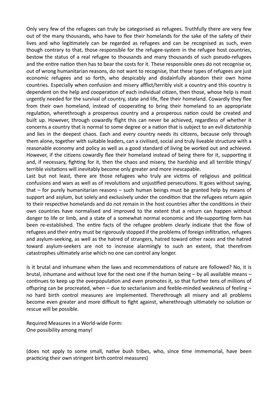Only very few of the refugees can truly be categorised as refugees. Truthfully there are very few out of the many thousands, who have to flee their homelands for the sake of the safety of their lives and who legitimately can be regarded as refugees and can be recognised as such, even though contrary to that, those responsible for the refugee-system in the refugee host countries, bestow the status of a real refugee to thousands and many thousands of such pseudo-refugees and the entire nation then has to bear the costs for it. These responsible ones do not recognise or, out of wrong humanitarian reasons, do not want to recognise, that these types of refugees are just economic refugees and so forth, who despicably and disdainfully abandon their own home countries. Especially when confusion and misery afflict/terribly visit a country and this country is dependent on the help and cooperation of each individual citizen, then those, whose help is most urgently needed for the survival of country, state and life, flee their homeland. Cowardly they flee from their own homeland, instead of cooperating to bring their homeland to an appropriate regulation, wherethrough a prosperous country and a prosperous nation could be created and built up. However, through cowardly flight this can never be achieved, regardless of whether it concerns a country that is normal to some degree or a nation that is subject to an evil dictatorship and lies in the deepest chaos. Each and every country needs its citizens, because only through them alone, together with suitable leaders, can a civilised, social and truly liveable structure with a reasonable economy and policy as well as a good standard of living be worked out and achieved. However, if the citizens cowardly flee their homeland instead of being there for it, supporting it and, if necessary, fighting for it, then the chaos and misery, the hardship and all terrible things/ terrible visitations will inevitably become only greater and more inescapable.

Last but not least, there are those refugees who truly are victims of religious and political confusions and wars as well as of revolutions and unjustified persecutions. It goes without saying, that – for purely humanitarian reasons – such human beings must be granted help by means of support and asylum, but solely and exclusively under the condition that the refugees return again to their respective homelands and do not remain in the host countries after the conditions in their own countries have normalised and improved to the extent that a return can happen without danger to life or limb, and a state of a somewhat normal economic and life-supporting form has been re-established. The entire facts of the refugee problem clearly indicate that the flow of refugees and their entry must be rigorously stopped if the problems of foreign infiltration, refugees and asylum-seeking, as well as the hatred of strangers, hatred toward other races and the hatred toward asylum-seekers are not to increase alarmingly to such an extent, that therefrom catastrophes ultimately arise which no one can control any longer.

Is it brutal and inhumane when the laws and recommendations of nature are followed? No, it is brutal, inhumane and without love for the next one if the human being – by all available means – continues to keep up the overpopulation and even promotes it, so that further tens of millions of offspring can be procreated, when – due to sectarianism and feeble-minded weakness of feeling – no hard birth control measures are implemented. Therethrough all misery and all problems become even greater and more difficult to fight against, wherethrough ultimately no solution or rescue will be possible.

Required Measures in a World-wide Form: One possibility among many!

(does not apply to some small, native bush tribes, who, since time immemorial, have been practicing their own stringent birth control measures)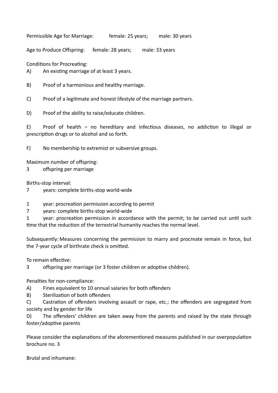Permissible Age for Marriage: female: 25 years; male: 30 years

Age to Produce Offspring: female: 28 years; male: 33 years

Conditions for Procreating:

 $A$ ) An existing marriage of at least 3 years.

B) Proof of a harmonious and healthy marriage.

C) Proof of a legitimate and honest lifestyle of the marriage partners.

D) Proof of the ability to raise/educate children.

 $E$ ) Proof of health – no hereditary and infectious diseases, no addiction to illegal or prescription drugs or to alcohol and so forth.

F) No membership to extremist or subversive groups.

Maximum number of offspring:

3 offspring per marriage

Births-stop interval:

- 7 years: complete births-stop world-wide
- 1 year: procreation permission according to permit

7 years: complete births-stop world-wide

1 vear: procreation permission in accordance with the permit; to be carried out until such time that the reduction of the terrestrial humanity reaches the normal level.

Subsequently: Measures concerning the permission to marry and procreate remain in force, but the 7-year cycle of birthrate check is omitted.

To remain effective:

3 offspring per marriage (or 3 foster children or adoptive children).

Penalties for non-compliance:

- A) Fines equivalent to 10 annual salaries for both offenders
- B) Sterilization of both offenders

C) Castration of offenders involving assault or rape, etc.; the offenders are segregated from society and by gender for life

D) The offenders' children are taken away from the parents and raised by the state through foster/adoptive parents

Please consider the explanations of the aforementioned measures published in our overpopulation brochure no. 3

Brutal and inhumane: